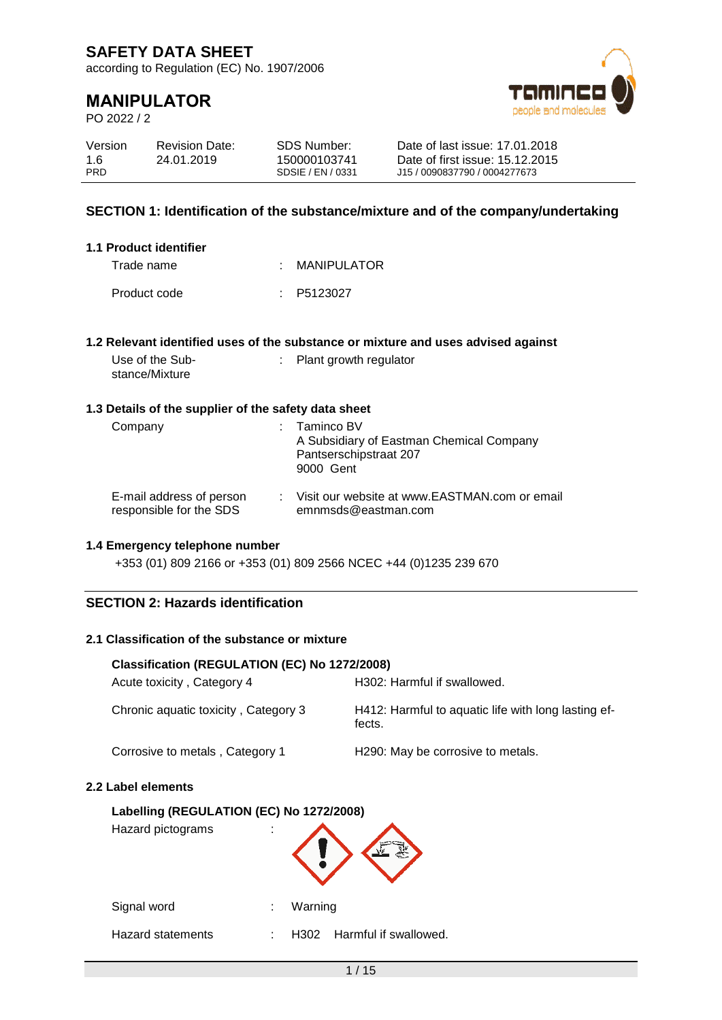according to Regulation (EC) No. 1907/2006

# **MANIPULATOR**

PO 2022 / 2



| Version    | <b>Revision Date:</b> | SDS Number:       | Date of last issue: 17.01.2018  |
|------------|-----------------------|-------------------|---------------------------------|
| 1.6        | 24.01.2019            | 150000103741      | Date of first issue: 15.12.2015 |
| <b>PRD</b> |                       | SDSIE / EN / 0331 | J15 / 0090837790 / 0004277673   |

### **SECTION 1: Identification of the substance/mixture and of the company/undertaking**

| 1.1 Product identifier |                       |
|------------------------|-----------------------|
| Trade name             | : MANIPULATOR         |
| Product code           | $\therefore$ P5123027 |

### **1.2 Relevant identified uses of the substance or mixture and uses advised against**

Use of the Substance/Mixture : Plant growth regulator

### **1.3 Details of the supplier of the safety data sheet**

| Company                                             | $:$ Taminco BV<br>A Subsidiary of Eastman Chemical Company<br>Pantserschipstraat 207<br>9000 Gent |
|-----------------------------------------------------|---------------------------------------------------------------------------------------------------|
| E-mail address of person<br>responsible for the SDS | : Visit our website at www.EASTMAN.com or email<br>emnmsds@eastman.com                            |

#### **1.4 Emergency telephone number**

+353 (01) 809 2166 or +353 (01) 809 2566 NCEC +44 (0)1235 239 670

### **SECTION 2: Hazards identification**

### **2.1 Classification of the substance or mixture**

| Classification (REGULATION (EC) No 1272/2008) |                                                               |  |  |
|-----------------------------------------------|---------------------------------------------------------------|--|--|
| Acute toxicity, Category 4                    | H302: Harmful if swallowed.                                   |  |  |
| Chronic aquatic toxicity, Category 3          | H412: Harmful to aquatic life with long lasting ef-<br>fects. |  |  |
| Corrosive to metals, Category 1               | H <sub>290</sub> : May be corrosive to metals.                |  |  |

#### **2.2 Label elements**

## **Labelling (REGULATION (EC) No 1272/2008)**

| Labelling (REGULATION (EC) NO 1272/2008)<br>Hazard pictograms |   |         |                            |
|---------------------------------------------------------------|---|---------|----------------------------|
| Signal word                                                   |   | Warning |                            |
| Hazard statements                                             | t |         | H302 Harmful if swallowed. |
|                                                               |   |         |                            |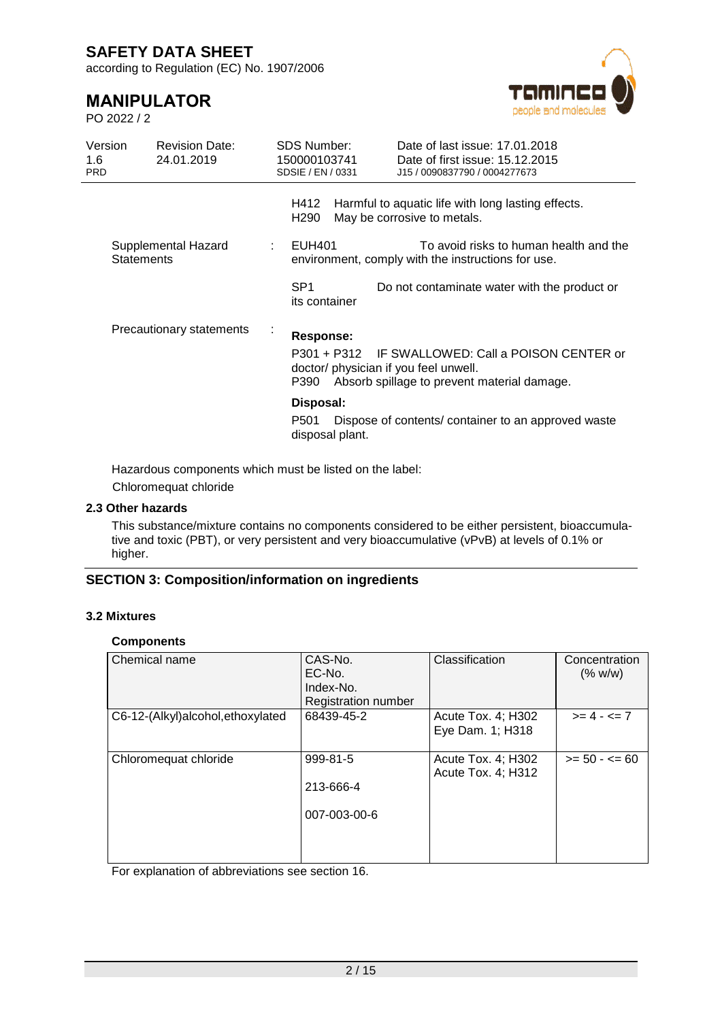according to Regulation (EC) No. 1907/2006

# **MANIPULATOR**

PO 2022 / 2



| Version<br>1.6<br><b>PRD</b> | <b>Revision Date:</b><br>24.01.2019      | <b>SDS Number:</b><br>150000103741<br>SDSIE / EN / 0331 | Date of last issue: 17.01.2018<br>Date of first issue: 15.12.2015<br>J15 / 0090837790 / 0004277673                                        |
|------------------------------|------------------------------------------|---------------------------------------------------------|-------------------------------------------------------------------------------------------------------------------------------------------|
|                              |                                          | H412<br>H290                                            | Harmful to aquatic life with long lasting effects.<br>May be corrosive to metals.                                                         |
|                              | Supplemental Hazard<br><b>Statements</b> | EUH401                                                  | To avoid risks to human health and the<br>environment, comply with the instructions for use.                                              |
|                              |                                          | SP <sub>1</sub><br>its container                        | Do not contaminate water with the product or                                                                                              |
|                              | Precautionary statements                 | Response:<br>P390                                       | P301 + P312 IF SWALLOWED: Call a POISON CENTER or<br>doctor/ physician if you feel unwell.<br>Absorb spillage to prevent material damage. |
|                              |                                          | Disposal:<br>P501<br>disposal plant.                    | Dispose of contents/container to an approved waste                                                                                        |

Hazardous components which must be listed on the label: Chloromequat chloride

# **2.3 Other hazards**

This substance/mixture contains no components considered to be either persistent, bioaccumulative and toxic (PBT), or very persistent and very bioaccumulative (vPvB) at levels of 0.1% or higher.

### **SECTION 3: Composition/information on ingredients**

### **3.2 Mixtures**

#### **Components**

| Chemical name                     | CAS-No.<br>EC-No.<br>Index-No.<br>Registration number | Classification                           | Concentration<br>(% w/w) |
|-----------------------------------|-------------------------------------------------------|------------------------------------------|--------------------------|
| C6-12-(Alkyl)alcohol, ethoxylated | 68439-45-2                                            | Acute Tox. 4; H302<br>Eye Dam. 1; H318   | $>= 4 - 5 = 7$           |
| Chloromequat chloride             | 999-81-5<br>213-666-4<br>007-003-00-6                 | Acute Tox. 4; H302<br>Acute Tox. 4; H312 | $>= 50 - 50 = 60$        |

For explanation of abbreviations see section 16.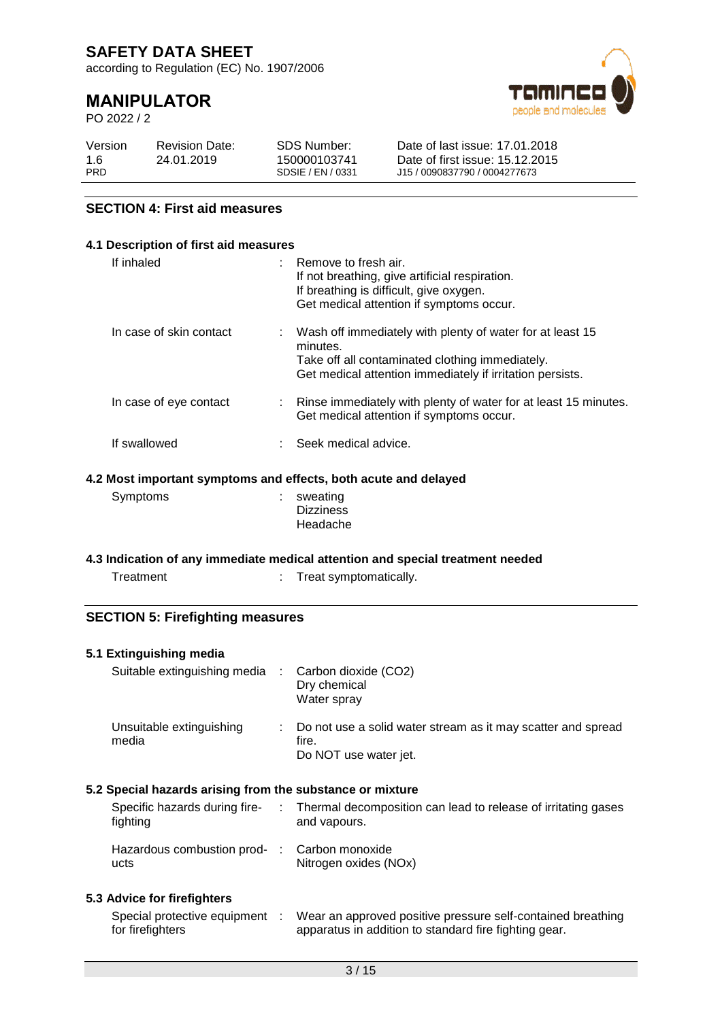according to Regulation (EC) No. 1907/2006

# **MANIPULATOR**

PO 2022 / 2



| Version    | <b>Revision Date:</b> | SDS Number:       | Date of last issue: 17.01.2018  |
|------------|-----------------------|-------------------|---------------------------------|
| 1.6        | 24.01.2019            | 150000103741      | Date of first issue: 15.12.2015 |
| <b>PRD</b> |                       | SDSIE / EN / 0331 | J15 / 0090837790 / 0004277673   |

### **SECTION 4: First aid measures**

## **4.1 Description of first aid measures** If inhaled : Remove to fresh air. If not breathing, give artificial respiration. If breathing is difficult, give oxygen. Get medical attention if symptoms occur. In case of skin contact : Wash off immediately with plenty of water for at least 15 minutes. Take off all contaminated clothing immediately. Get medical attention immediately if irritation persists. In case of eye contact : Rinse immediately with plenty of water for at least 15 minutes. Get medical attention if symptoms occur. If swallowed : Seek medical advice.

### **4.2 Most important symptoms and effects, both acute and delayed**

| Symptoms | $:$ sweating     |
|----------|------------------|
|          | <b>Dizziness</b> |
|          | Headache         |

### **4.3 Indication of any immediate medical attention and special treatment needed**

| Treatment | Treat |
|-----------|-------|
|           |       |

### **SECTION 5: Firefighting measures**

### **5.1 Extinguishing media**

| Suitable extinguishing media : Carbon dioxide (CO2) | Dry chemical<br>Water spray                                                                      |
|-----------------------------------------------------|--------------------------------------------------------------------------------------------------|
| Unsuitable extinguishing<br>media                   | : Do not use a solid water stream as it may scatter and spread<br>fire.<br>Do NOT use water jet. |

symptomatically.

### **5.2 Special hazards arising from the substance or mixture**

| Specific hazards during fire-<br>fighting            | Thermal decomposition can lead to release of irritating gases<br>and vapours. |
|------------------------------------------------------|-------------------------------------------------------------------------------|
| Hazardous combustion prod- : Carbon monoxide<br>ucts | Nitrogen oxides (NOx)                                                         |

### **5.3 Advice for firefighters**

| Special protective equipment | Wear an approved positive pressure self-contained breathing |
|------------------------------|-------------------------------------------------------------|
| for firefighters             | apparatus in addition to standard fire fighting gear.       |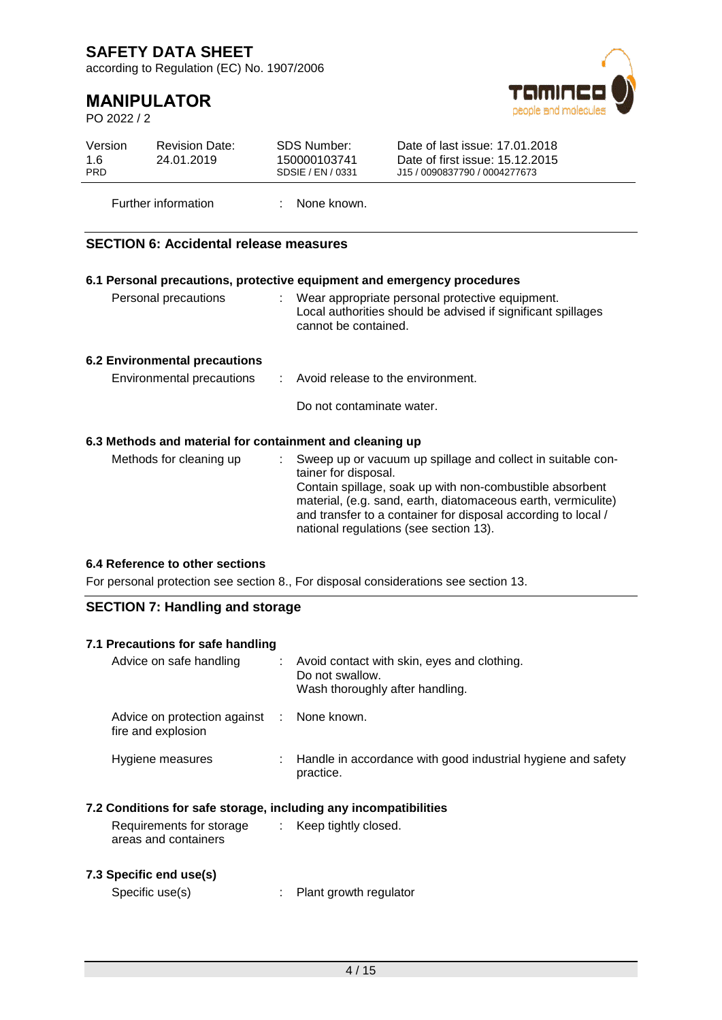according to Regulation (EC) No. 1907/2006

# **MANIPULATOR**

PO 2022 / 2



| Version<br>1.6<br><b>PRD</b>                                                        | <b>Revision Date:</b><br>24.01.2019           | <b>SDS Number:</b><br>150000103741<br>SDSIE / EN / 0331  | Date of last issue: 17.01.2018<br>Date of first issue: 15.12.2015<br>J15 / 0090837790 / 0004277673                                                                                                                                                                                                  |  |  |
|-------------------------------------------------------------------------------------|-----------------------------------------------|----------------------------------------------------------|-----------------------------------------------------------------------------------------------------------------------------------------------------------------------------------------------------------------------------------------------------------------------------------------------------|--|--|
|                                                                                     | Further information                           | None known.                                              |                                                                                                                                                                                                                                                                                                     |  |  |
|                                                                                     | <b>SECTION 6: Accidental release measures</b> |                                                          |                                                                                                                                                                                                                                                                                                     |  |  |
|                                                                                     |                                               |                                                          | 6.1 Personal precautions, protective equipment and emergency procedures                                                                                                                                                                                                                             |  |  |
|                                                                                     | Personal precautions                          | cannot be contained.                                     | Wear appropriate personal protective equipment.<br>Local authorities should be advised if significant spillages                                                                                                                                                                                     |  |  |
|                                                                                     | <b>6.2 Environmental precautions</b>          |                                                          |                                                                                                                                                                                                                                                                                                     |  |  |
|                                                                                     | Environmental precautions                     | Avoid release to the environment.                        |                                                                                                                                                                                                                                                                                                     |  |  |
|                                                                                     |                                               | Do not contaminate water.                                |                                                                                                                                                                                                                                                                                                     |  |  |
|                                                                                     |                                               | 6.3 Methods and material for containment and cleaning up |                                                                                                                                                                                                                                                                                                     |  |  |
|                                                                                     | Methods for cleaning up                       | t.<br>tainer for disposal.                               | Sweep up or vacuum up spillage and collect in suitable con-<br>Contain spillage, soak up with non-combustible absorbent<br>material, (e.g. sand, earth, diatomaceous earth, vermiculite)<br>and transfer to a container for disposal according to local /<br>national regulations (see section 13). |  |  |
|                                                                                     | 6.4 Reference to other sections               |                                                          |                                                                                                                                                                                                                                                                                                     |  |  |
| For personal protection see section 8., For disposal considerations see section 13. |                                               |                                                          |                                                                                                                                                                                                                                                                                                     |  |  |

### **SECTION 7: Handling and storage**

| 7.1 Precautions for safe handling                                |    |                                                                                                   |
|------------------------------------------------------------------|----|---------------------------------------------------------------------------------------------------|
| Advice on safe handling                                          | ÷. | Avoid contact with skin, eyes and clothing.<br>Do not swallow.<br>Wash thoroughly after handling. |
| Advice on protection against : None known.<br>fire and explosion |    |                                                                                                   |
| Hygiene measures                                                 |    | Handle in accordance with good industrial hygiene and safety<br>practice.                         |
| 7.2 Conditions for safe storage, including any incompatibilities |    |                                                                                                   |
| Requirements for storage<br>areas and containers                 |    | $\therefore$ Keep tightly closed.                                                                 |
| 7.3 Specific end use(s)                                          |    |                                                                                                   |

### Specific use(s)  $\qquad \qquad : \qquad$  Plant growth regulator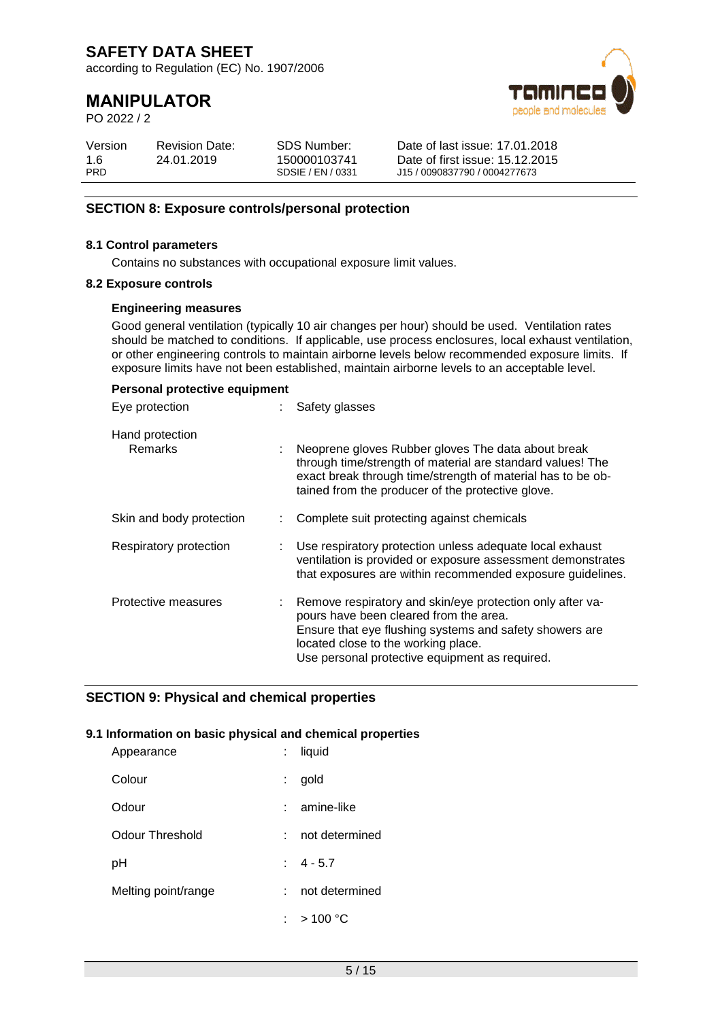according to Regulation (EC) No. 1907/2006

# **MANIPULATOR**

PO 2022 / 2



| Version<br>1.6<br><b>PRD</b> | <b>Revision Date:</b><br>24.01.2019 | SDS Number:<br>150000103741<br>SDSIF / FN / 0331 | Date of last issue: 17.01.2018<br>Date of first issue: 15.12.2015<br>J15 / 0090837790 / 0004277673 |  |
|------------------------------|-------------------------------------|--------------------------------------------------|----------------------------------------------------------------------------------------------------|--|
|------------------------------|-------------------------------------|--------------------------------------------------|----------------------------------------------------------------------------------------------------|--|

### **SECTION 8: Exposure controls/personal protection**

### **8.1 Control parameters**

Contains no substances with occupational exposure limit values.

#### **8.2 Exposure controls**

#### **Engineering measures**

Good general ventilation (typically 10 air changes per hour) should be used. Ventilation rates should be matched to conditions. If applicable, use process enclosures, local exhaust ventilation, or other engineering controls to maintain airborne levels below recommended exposure limits. If exposure limits have not been established, maintain airborne levels to an acceptable level.

| Personal protective equipment     |                                                                                                                                                                                                                                                         |
|-----------------------------------|---------------------------------------------------------------------------------------------------------------------------------------------------------------------------------------------------------------------------------------------------------|
| Eye protection                    | Safety glasses                                                                                                                                                                                                                                          |
| Hand protection<br><b>Remarks</b> | Neoprene gloves Rubber gloves The data about break<br>through time/strength of material are standard values! The<br>exact break through time/strength of material has to be ob-<br>tained from the producer of the protective glove.                    |
| Skin and body protection          | Complete suit protecting against chemicals                                                                                                                                                                                                              |
| Respiratory protection            | Use respiratory protection unless adequate local exhaust<br>ventilation is provided or exposure assessment demonstrates<br>that exposures are within recommended exposure guidelines.                                                                   |
| Protective measures               | Remove respiratory and skin/eye protection only after va-<br>pours have been cleared from the area.<br>Ensure that eye flushing systems and safety showers are<br>located close to the working place.<br>Use personal protective equipment as required. |

### **SECTION 9: Physical and chemical properties**

### **9.1 Information on basic physical and chemical properties**

| Appearance          |    | : liquid                     |
|---------------------|----|------------------------------|
| Colour              | t. | gold                         |
| Odour               |    | amine-like                   |
| Odour Threshold     |    | not determined               |
| рH                  |    | $\pm 4 - 5.7$                |
| Melting point/range |    | not determined               |
|                     |    | : $>100\,^{\circ}\mathrm{C}$ |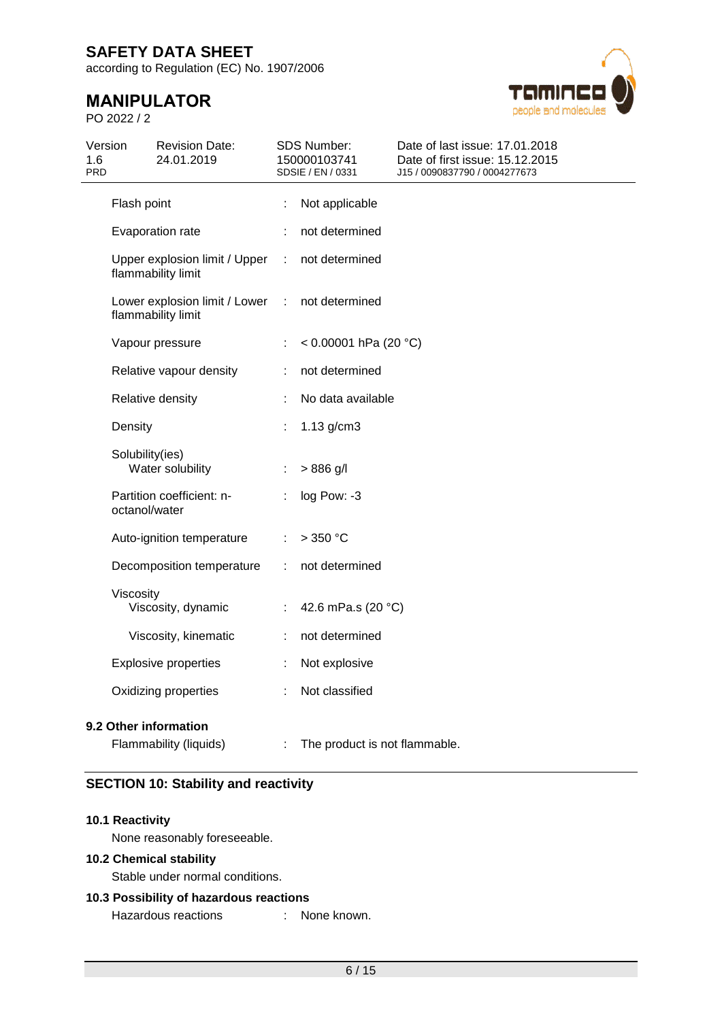according to Regulation (EC) No. 1907/2006

# **MANIPULATOR**

PO 2022 / 2



| 1.6<br><b>PRD</b> | Version         | <b>Revision Date:</b><br>24.01.2019                 |   | <b>SDS Number:</b><br>150000103741<br>SDSIE / EN / 0331 | Date of last issue: 17.01.2018<br>Date of first issue: 15.12.2015<br>J15 / 0090837790 / 0004277673 |
|-------------------|-----------------|-----------------------------------------------------|---|---------------------------------------------------------|----------------------------------------------------------------------------------------------------|
|                   | Flash point     |                                                     | t | Not applicable                                          |                                                                                                    |
|                   |                 | Evaporation rate                                    |   | not determined                                          |                                                                                                    |
|                   |                 | Upper explosion limit / Upper<br>flammability limit | ÷ | not determined                                          |                                                                                                    |
|                   |                 | Lower explosion limit / Lower<br>flammability limit | ÷ | not determined                                          |                                                                                                    |
|                   |                 | Vapour pressure                                     |   | < $0.00001$ hPa (20 °C)                                 |                                                                                                    |
|                   |                 | Relative vapour density                             | ÷ | not determined                                          |                                                                                                    |
|                   |                 | Relative density                                    |   | No data available                                       |                                                                                                    |
|                   | Density         |                                                     |   | $1.13$ g/cm3                                            |                                                                                                    |
|                   | Solubility(ies) | Water solubility                                    | ÷ | $> 886$ g/l                                             |                                                                                                    |
|                   | octanol/water   | Partition coefficient: n-                           | ÷ | log Pow: -3                                             |                                                                                                    |
|                   |                 | Auto-ignition temperature                           | ÷ | >350 °C                                                 |                                                                                                    |
|                   |                 | Decomposition temperature                           | ÷ | not determined                                          |                                                                                                    |
|                   | Viscosity       | Viscosity, dynamic                                  |   | 42.6 mPa.s (20 °C)                                      |                                                                                                    |
|                   |                 | Viscosity, kinematic                                |   | not determined                                          |                                                                                                    |
|                   |                 | <b>Explosive properties</b>                         |   | Not explosive                                           |                                                                                                    |
|                   |                 | Oxidizing properties                                |   | Not classified                                          |                                                                                                    |
|                   |                 | 9.2 Other information<br>Flammability (liquids)     |   | The product is not flammable.                           |                                                                                                    |

### **SECTION 10: Stability and reactivity**

### **10.1 Reactivity**

None reasonably foreseeable.

### **10.2 Chemical stability**

Stable under normal conditions.

### **10.3 Possibility of hazardous reactions**

Hazardous reactions : None known.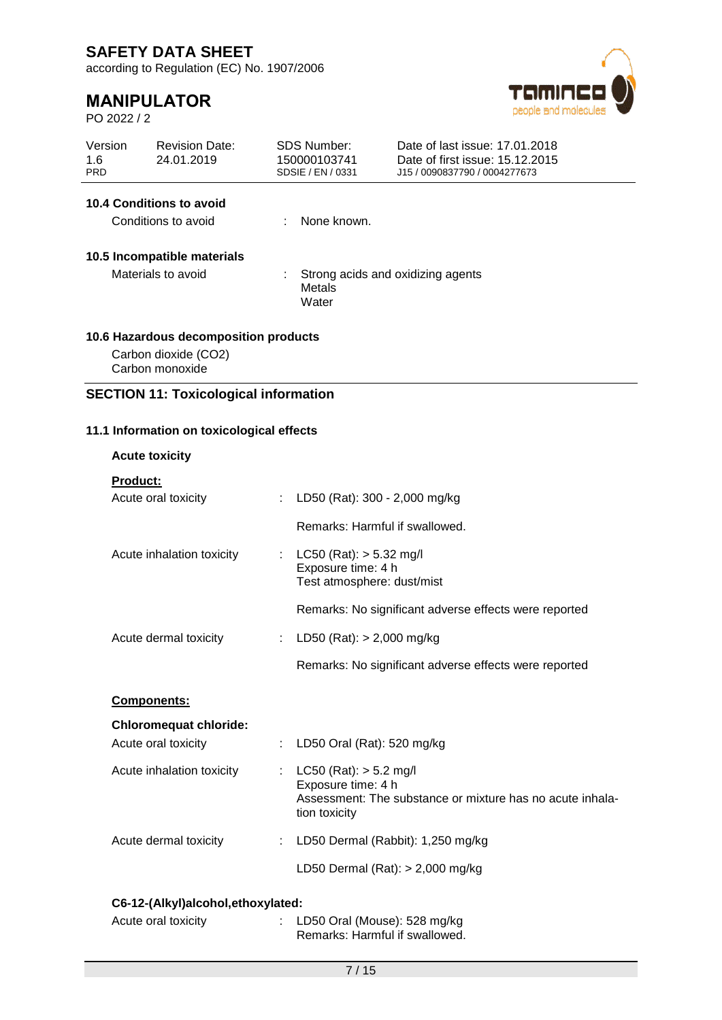according to Regulation (EC) No. 1907/2006

# **MANIPULATOR**

PO 2022 / 2



| Version<br>1.6<br><b>PRD</b> |                                        | <b>Revision Date:</b><br>24.01.2019                    |    | <b>SDS Number:</b><br>150000103741<br>SDSIE / EN / 0331 | Date of last issue: 17.01.2018<br>Date of first issue: 15.12.2015<br>J15 / 0090837790 / 0004277673 |  |  |
|------------------------------|----------------------------------------|--------------------------------------------------------|----|---------------------------------------------------------|----------------------------------------------------------------------------------------------------|--|--|
|                              |                                        | <b>10.4 Conditions to avoid</b><br>Conditions to avoid |    | None known.                                             |                                                                                                    |  |  |
|                              |                                        |                                                        |    |                                                         |                                                                                                    |  |  |
|                              |                                        | 10.5 Incompatible materials                            |    |                                                         |                                                                                                    |  |  |
|                              | Materials to avoid                     |                                                        |    | Strong acids and oxidizing agents<br>Metals<br>Water    |                                                                                                    |  |  |
|                              |                                        | 10.6 Hazardous decomposition products                  |    |                                                         |                                                                                                    |  |  |
|                              | Carbon monoxide                        | Carbon dioxide (CO2)                                   |    |                                                         |                                                                                                    |  |  |
|                              |                                        | <b>SECTION 11: Toxicological information</b>           |    |                                                         |                                                                                                    |  |  |
|                              |                                        |                                                        |    |                                                         |                                                                                                    |  |  |
|                              |                                        | 11.1 Information on toxicological effects              |    |                                                         |                                                                                                    |  |  |
|                              | <b>Acute toxicity</b>                  |                                                        |    |                                                         |                                                                                                    |  |  |
|                              | <b>Product:</b><br>Acute oral toxicity |                                                        | ÷. | LD50 (Rat): 300 - 2,000 mg/kg                           |                                                                                                    |  |  |
|                              |                                        |                                                        |    |                                                         |                                                                                                    |  |  |
|                              |                                        |                                                        |    | Remarks: Harmful if swallowed.                          |                                                                                                    |  |  |
|                              |                                        | Acute inhalation toxicity                              |    | LC50 (Rat): $> 5.32$ mg/l<br>Exposure time: 4 h         |                                                                                                    |  |  |
|                              |                                        |                                                        |    | Test atmosphere: dust/mist                              |                                                                                                    |  |  |
|                              |                                        |                                                        |    |                                                         | Remarks: No significant adverse effects were reported                                              |  |  |
|                              |                                        | Acute dermal toxicity                                  |    | LD50 (Rat): $> 2,000$ mg/kg                             |                                                                                                    |  |  |
|                              |                                        |                                                        |    |                                                         | Remarks: No significant adverse effects were reported                                              |  |  |
|                              | <b>Components:</b>                     |                                                        |    |                                                         |                                                                                                    |  |  |
|                              |                                        | <b>Chloromequat chloride:</b>                          |    |                                                         |                                                                                                    |  |  |
|                              | Acute oral toxicity                    |                                                        |    | LD50 Oral (Rat): 520 mg/kg                              |                                                                                                    |  |  |
|                              |                                        | Acute inhalation toxicity                              |    | $LC50$ (Rat): $> 5.2$ mg/l<br>Exposure time: 4 h        |                                                                                                    |  |  |
|                              |                                        |                                                        |    | tion toxicity                                           | Assessment: The substance or mixture has no acute inhala-                                          |  |  |

# Acute dermal toxicity : LD50 Dermal (Rabbit): 1,250 mg/kg LD50 Dermal (Rat): > 2,000 mg/kg

### **C6-12-(Alkyl)alcohol,ethoxylated:**

| Acute oral toxicity | : LD50 Oral (Mouse): $528 \text{ mg/kg}$ |
|---------------------|------------------------------------------|
|                     | Remarks: Harmful if swallowed.           |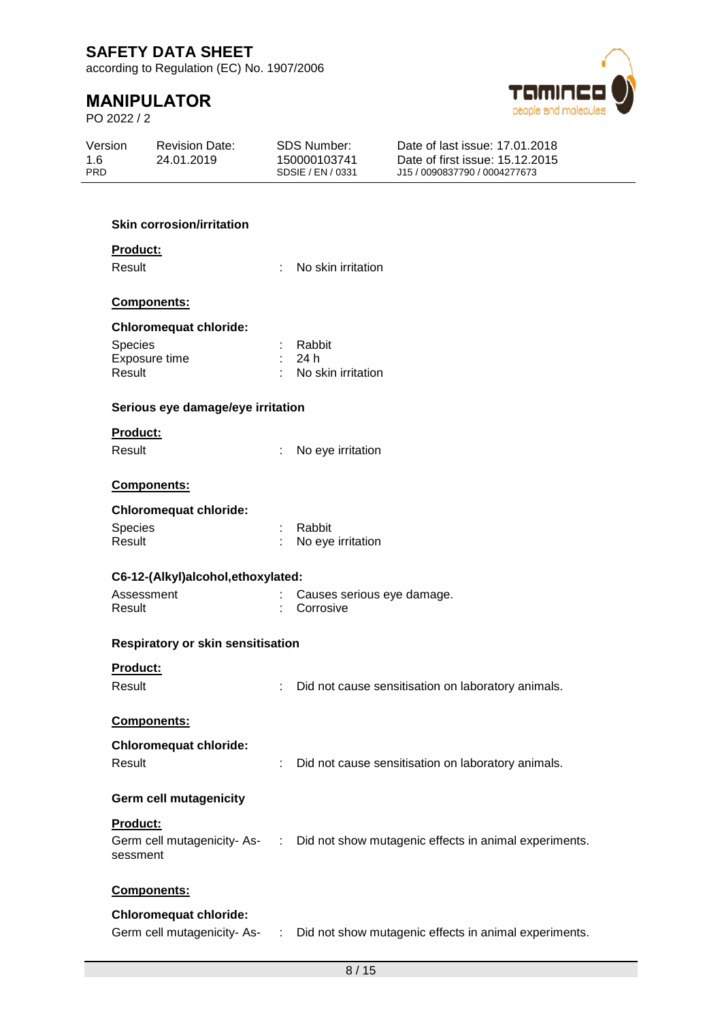according to Regulation (EC) No. 1907/2006

# **MANIPULATOR**

PO 2022 / 2



| Version           | <b>Revision Date:</b> | SDS Number:                       | Date of last issue: 17.01.2018                                   |
|-------------------|-----------------------|-----------------------------------|------------------------------------------------------------------|
| 1.6<br><b>PRD</b> | 24.01.2019            | 150000103741<br>SDSIE / EN / 0331 | Date of first issue: 15.12.2015<br>J15 / 0090837790 / 0004277673 |
|                   |                       |                                   |                                                                  |

### **Skin corrosion/irritation**

#### **Product:**

Result : No skin irritation

#### **Components:**

### **Chloromequat chloride:**

| <b>Species</b> | : Rabbit             |
|----------------|----------------------|
| Exposure time  | : 24 h               |
| Result         | : No skin irritation |

#### **Serious eye damage/eye irritation**

#### **Product:**

Result : No eye irritation

#### **Components:**

### **Chloromequat chloride:**

| <b>Species</b> | : Rabbit            |
|----------------|---------------------|
| Result         | : No eye irritation |

| C6-12-(Alkyl)alcohol, ethoxylated: |  |                              |  |  |  |  |  |
|------------------------------------|--|------------------------------|--|--|--|--|--|
| Assessment                         |  | : Causes serious eye damage. |  |  |  |  |  |
| Result                             |  | : Corrosive                  |  |  |  |  |  |

### **Respiratory or skin sensitisation**

#### **Product:**

Result : Did not cause sensitisation on laboratory animals.

### **Components:**

### **Chloromequat chloride:**

| Result |  | Did not cause sensitisation on laboratory animals. |  |  |  |
|--------|--|----------------------------------------------------|--|--|--|
|--------|--|----------------------------------------------------|--|--|--|

### **Germ cell mutagenicity**

### **Product:**

| Germ cell mutagenicity-As- | : Did not show mutagenic effects in animal experiments. |
|----------------------------|---------------------------------------------------------|
| sessment                   |                                                         |

### **Components:**

### **Chloromequat chloride:**

Germ cell mutagenicity- As- : Did not show mutagenic effects in animal experiments.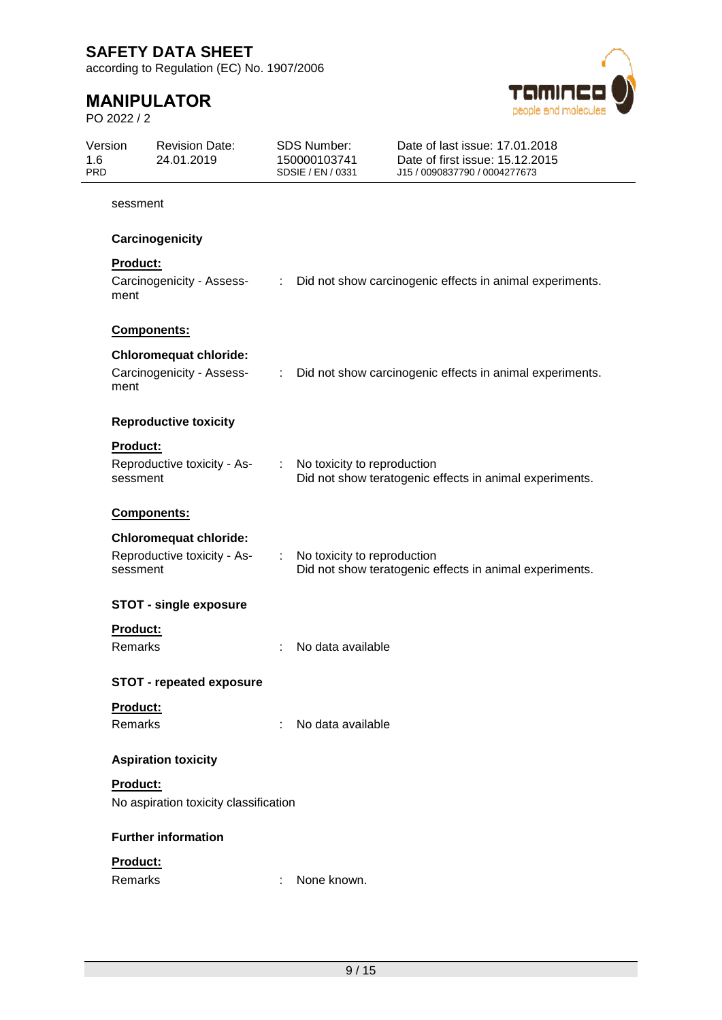according to Regulation (EC) No. 1907/2006

# **MANIPULATOR**

PO 2022 / 2



| Version<br>1.6<br><b>PRD</b> |                 | <b>Revision Date:</b><br>24.01.2019   | <b>SDS Number:</b><br>150000103741<br>SDSIE / EN / 0331 |                             | Date of last issue: 17.01.2018<br>Date of first issue: 15.12.2015<br>J15 / 0090837790 / 0004277673 |
|------------------------------|-----------------|---------------------------------------|---------------------------------------------------------|-----------------------------|----------------------------------------------------------------------------------------------------|
|                              | sessment        |                                       |                                                         |                             |                                                                                                    |
|                              |                 | Carcinogenicity                       |                                                         |                             |                                                                                                    |
|                              | <b>Product:</b> |                                       |                                                         |                             |                                                                                                    |
|                              | ment            | Carcinogenicity - Assess-             | $\mathbb{Z}^{\times}$                                   |                             | Did not show carcinogenic effects in animal experiments.                                           |
|                              | Components:     |                                       |                                                         |                             |                                                                                                    |
|                              |                 | <b>Chloromequat chloride:</b>         |                                                         |                             |                                                                                                    |
|                              | ment            | Carcinogenicity - Assess-             | $\mathbb{Z}^n$ .                                        |                             | Did not show carcinogenic effects in animal experiments.                                           |
|                              |                 | <b>Reproductive toxicity</b>          |                                                         |                             |                                                                                                    |
|                              | Product:        |                                       |                                                         |                             |                                                                                                    |
|                              | sessment        | Reproductive toxicity - As-           |                                                         | No toxicity to reproduction | Did not show teratogenic effects in animal experiments.                                            |
|                              | Components:     |                                       |                                                         |                             |                                                                                                    |
|                              |                 | <b>Chloromequat chloride:</b>         |                                                         |                             |                                                                                                    |
|                              | sessment        | Reproductive toxicity - As-           | ÷.                                                      | No toxicity to reproduction | Did not show teratogenic effects in animal experiments.                                            |
|                              |                 | <b>STOT - single exposure</b>         |                                                         |                             |                                                                                                    |
|                              | <b>Product:</b> |                                       |                                                         |                             |                                                                                                    |
|                              | <b>Remarks</b>  |                                       |                                                         | No data available           |                                                                                                    |
|                              |                 | <b>STOT - repeated exposure</b>       |                                                         |                             |                                                                                                    |
|                              | Product:        |                                       |                                                         |                             |                                                                                                    |
|                              | Remarks         |                                       | ÷                                                       | No data available           |                                                                                                    |
|                              |                 | <b>Aspiration toxicity</b>            |                                                         |                             |                                                                                                    |
|                              | Product:        |                                       |                                                         |                             |                                                                                                    |
|                              |                 | No aspiration toxicity classification |                                                         |                             |                                                                                                    |
|                              |                 | <b>Further information</b>            |                                                         |                             |                                                                                                    |
|                              | Product:        |                                       |                                                         |                             |                                                                                                    |
|                              | Remarks         |                                       |                                                         | None known.                 |                                                                                                    |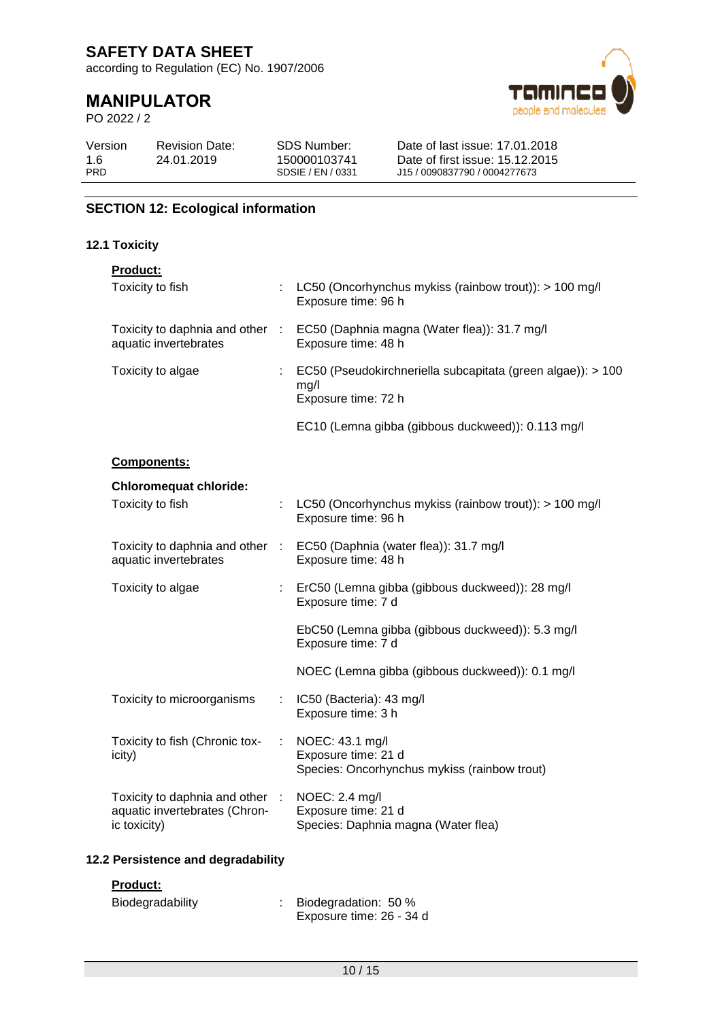according to Regulation (EC) No. 1907/2006

# **MANIPULATOR**

PO 2022 / 2



| SDS Number:<br>Version<br><b>Revision Date:</b><br>1.6<br>24.01.2019<br>150000103741<br><b>PRD</b><br>SDSIE / EN / 0331 | Date of last issue: 17.01.2018<br>Date of first issue: 15.12.2015<br>J15 / 0090837790 / 0004277673 |
|-------------------------------------------------------------------------------------------------------------------------|----------------------------------------------------------------------------------------------------|
|-------------------------------------------------------------------------------------------------------------------------|----------------------------------------------------------------------------------------------------|

### **SECTION 12: Ecological information**

### **12.1 Toxicity**

| <b>Product:</b>                                                                  |   |                                                                                               |
|----------------------------------------------------------------------------------|---|-----------------------------------------------------------------------------------------------|
| Toxicity to fish                                                                 |   | : LC50 (Oncorhynchus mykiss (rainbow trout)): > 100 mg/l<br>Exposure time: 96 h               |
| Toxicity to daphnia and other :<br>aquatic invertebrates                         |   | EC50 (Daphnia magna (Water flea)): 31.7 mg/l<br>Exposure time: 48 h                           |
| Toxicity to algae                                                                |   | : EC50 (Pseudokirchneriella subcapitata (green algae)): > 100<br>mg/l<br>Exposure time: 72 h  |
|                                                                                  |   | EC10 (Lemna gibba (gibbous duckweed)): 0.113 mg/l                                             |
| Components:                                                                      |   |                                                                                               |
| <b>Chloromequat chloride:</b>                                                    |   |                                                                                               |
| Toxicity to fish                                                                 |   | LC50 (Oncorhynchus mykiss (rainbow trout)): > 100 mg/l<br>Exposure time: 96 h                 |
| aquatic invertebrates                                                            |   | Toxicity to daphnia and other : EC50 (Daphnia (water flea)): 31.7 mg/l<br>Exposure time: 48 h |
| Toxicity to algae                                                                |   | : ErC50 (Lemna gibba (gibbous duckweed)): 28 mg/l<br>Exposure time: 7 d                       |
|                                                                                  |   | EbC50 (Lemna gibba (gibbous duckweed)): 5.3 mg/l<br>Exposure time: 7 d                        |
|                                                                                  |   | NOEC (Lemna gibba (gibbous duckweed)): 0.1 mg/l                                               |
| Toxicity to microorganisms                                                       |   | : IC50 (Bacteria): 43 mg/l<br>Exposure time: 3 h                                              |
| Toxicity to fish (Chronic tox-<br>icity)                                         | ÷ | NOEC: 43.1 mg/l<br>Exposure time: 21 d<br>Species: Oncorhynchus mykiss (rainbow trout)        |
| Toxicity to daphnia and other :<br>aquatic invertebrates (Chron-<br>ic toxicity) |   | NOEC: 2.4 mg/l<br>Exposure time: 21 d<br>Species: Daphnia magna (Water flea)                  |
|                                                                                  |   |                                                                                               |

### **12.2 Persistence and degradability**

### **Product:**

| Biodegradability | Biodegradation: 50 %     |
|------------------|--------------------------|
|                  | Exposure time: 26 - 34 d |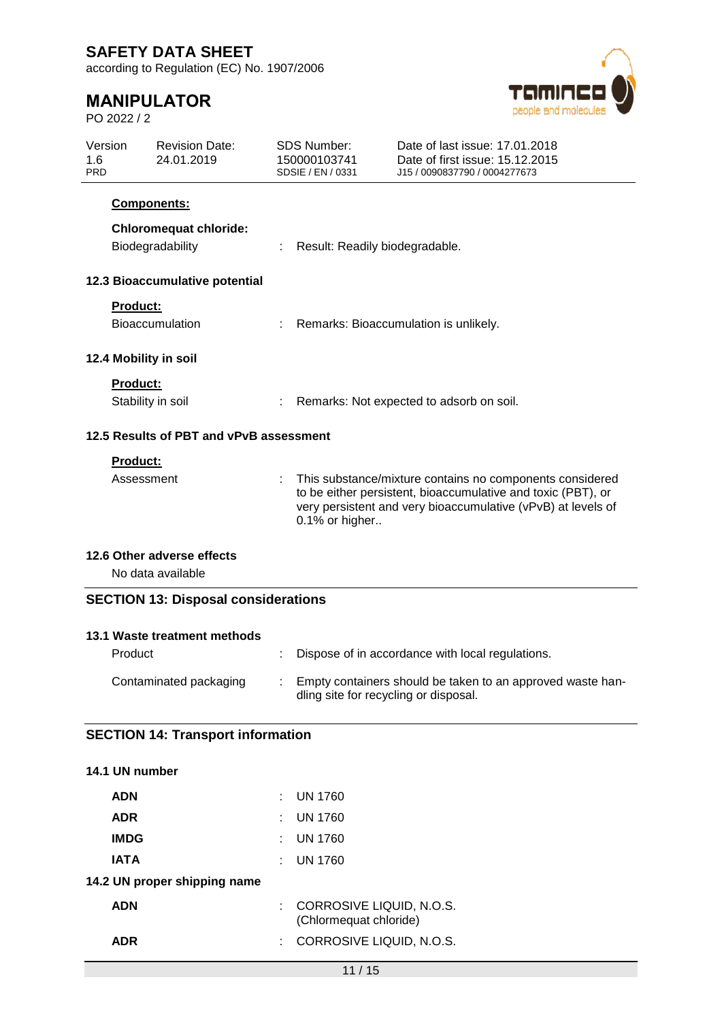according to Regulation (EC) No. 1907/2006

# **MANIPULATOR**

PO 2022 / 2



| Version<br>1.6<br><b>PRD</b> |                                          | <b>Revision Date:</b><br>24.01.2019        |                                | <b>SDS Number:</b><br>150000103741<br>SDSIE / EN / 0331                                                                                                                                                    | Date of last issue: 17.01.2018<br>Date of first issue: 15.12.2015<br>J15 / 0090837790 / 0004277673 |  |  |
|------------------------------|------------------------------------------|--------------------------------------------|--------------------------------|------------------------------------------------------------------------------------------------------------------------------------------------------------------------------------------------------------|----------------------------------------------------------------------------------------------------|--|--|
|                              |                                          | <b>Components:</b>                         |                                |                                                                                                                                                                                                            |                                                                                                    |  |  |
|                              |                                          | <b>Chloromequat chloride:</b>              |                                |                                                                                                                                                                                                            |                                                                                                    |  |  |
|                              |                                          | Biodegradability                           | Result: Readily biodegradable. |                                                                                                                                                                                                            |                                                                                                    |  |  |
|                              |                                          | 12.3 Bioaccumulative potential             |                                |                                                                                                                                                                                                            |                                                                                                    |  |  |
|                              | <b>Product:</b>                          |                                            |                                |                                                                                                                                                                                                            |                                                                                                    |  |  |
|                              |                                          | <b>Bioaccumulation</b>                     |                                |                                                                                                                                                                                                            | Remarks: Bioaccumulation is unlikely.                                                              |  |  |
|                              |                                          | 12.4 Mobility in soil                      |                                |                                                                                                                                                                                                            |                                                                                                    |  |  |
|                              | Product:                                 |                                            |                                |                                                                                                                                                                                                            |                                                                                                    |  |  |
|                              |                                          | Stability in soil                          |                                | Remarks: Not expected to adsorb on soil.                                                                                                                                                                   |                                                                                                    |  |  |
|                              |                                          | 12.5 Results of PBT and vPvB assessment    |                                |                                                                                                                                                                                                            |                                                                                                    |  |  |
|                              | Product:                                 |                                            |                                |                                                                                                                                                                                                            |                                                                                                    |  |  |
|                              | Assessment                               |                                            | t.                             | This substance/mixture contains no components considered<br>to be either persistent, bioaccumulative and toxic (PBT), or<br>very persistent and very bioaccumulative (vPvB) at levels of<br>0.1% or higher |                                                                                                    |  |  |
|                              |                                          | 12.6 Other adverse effects                 |                                |                                                                                                                                                                                                            |                                                                                                    |  |  |
|                              |                                          | No data available                          |                                |                                                                                                                                                                                                            |                                                                                                    |  |  |
|                              |                                          | <b>SECTION 13: Disposal considerations</b> |                                |                                                                                                                                                                                                            |                                                                                                    |  |  |
|                              |                                          |                                            |                                |                                                                                                                                                                                                            |                                                                                                    |  |  |
|                              |                                          | 13.1 Waste treatment methods               |                                |                                                                                                                                                                                                            |                                                                                                    |  |  |
|                              | Product                                  |                                            | ÷                              |                                                                                                                                                                                                            | Dispose of in accordance with local regulations.                                                   |  |  |
|                              |                                          | Contaminated packaging                     |                                | Empty containers should be taken to an approved waste han-<br>dling site for recycling or disposal.                                                                                                        |                                                                                                    |  |  |
|                              | <b>SECTION 14: Transport information</b> |                                            |                                |                                                                                                                                                                                                            |                                                                                                    |  |  |

| 14.1 UN number               |                                                      |
|------------------------------|------------------------------------------------------|
| <b>ADN</b>                   | $\pm$ UN 1760                                        |
| <b>ADR</b>                   | UN 1760                                              |
| <b>IMDG</b>                  | UN 1760                                              |
| <b>IATA</b>                  | $:$ UN 1760                                          |
| 14.2 UN proper shipping name |                                                      |
| <b>ADN</b>                   | : CORROSIVE LIQUID, N.O.S.<br>(Chlormequat chloride) |
| <b>ADR</b>                   | $\therefore$ CORROSIVE LIQUID, N.O.S.                |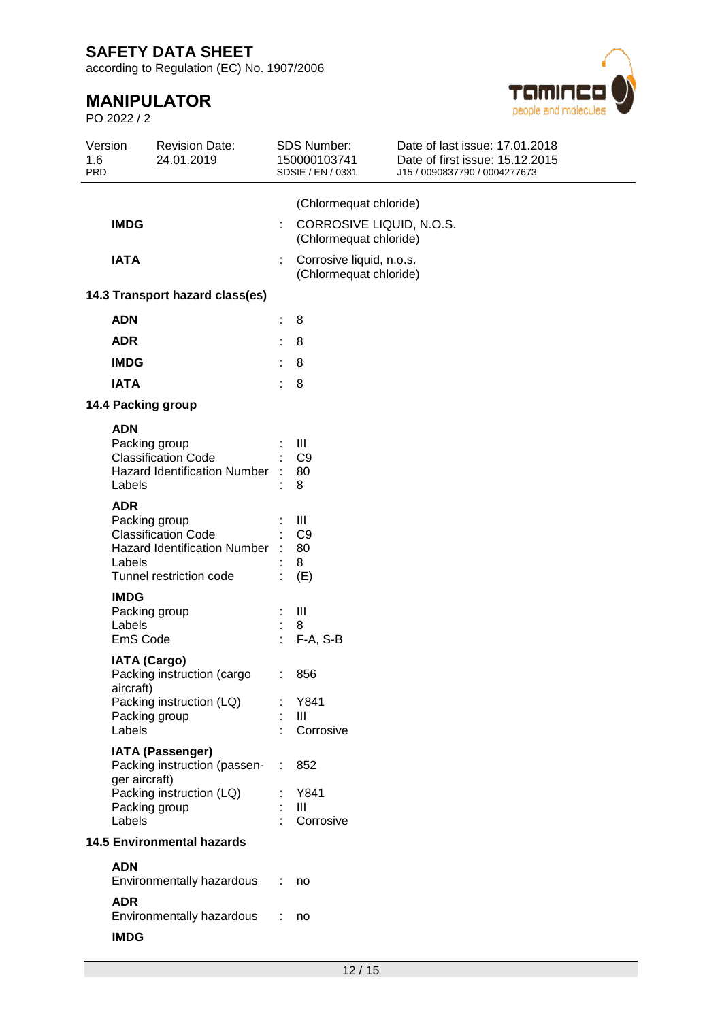according to Regulation (EC) No. 1907/2006

# **MANIPULATOR**

PO 2022 / 2



| Version<br>1.6<br><b>PRD</b> | <b>Revision Date:</b><br>24.01.2019                                                                           |   | <b>SDS Number:</b><br>150000103741<br>SDSIE / EN / 0331 | Date of last issue: 17.01.2018<br>Date of first issue: 15.12.2015<br>J15 / 0090837790 / 0004277673 |
|------------------------------|---------------------------------------------------------------------------------------------------------------|---|---------------------------------------------------------|----------------------------------------------------------------------------------------------------|
| <b>IMDG</b>                  |                                                                                                               | ÷ | (Chlormequat chloride)<br>CORROSIVE LIQUID, N.O.S.      |                                                                                                    |
| <b>IATA</b>                  |                                                                                                               | ÷ | (Chlormequat chloride)<br>Corrosive liquid, n.o.s.      |                                                                                                    |
|                              |                                                                                                               |   | (Chlormequat chloride)                                  |                                                                                                    |
|                              | 14.3 Transport hazard class(es)                                                                               |   |                                                         |                                                                                                    |
| <b>ADN</b>                   |                                                                                                               |   | 8                                                       |                                                                                                    |
| <b>ADR</b>                   |                                                                                                               |   | 8                                                       |                                                                                                    |
| <b>IMDG</b>                  |                                                                                                               |   | 8                                                       |                                                                                                    |
| <b>IATA</b>                  |                                                                                                               | ÷ | 8                                                       |                                                                                                    |
|                              | 14.4 Packing group                                                                                            |   |                                                         |                                                                                                    |
| <b>ADN</b><br>Labels         | Packing group<br><b>Classification Code</b><br><b>Hazard Identification Number</b>                            |   | Ш<br>C <sub>9</sub><br>80<br>8                          |                                                                                                    |
| <b>ADR</b><br>Labels         | Packing group<br><b>Classification Code</b><br><b>Hazard Identification Number</b><br>Tunnel restriction code |   | Ш<br>C <sub>9</sub><br>80<br>8<br>(E)                   |                                                                                                    |
| <b>IMDG</b><br>Labels        | Packing group<br>EmS Code                                                                                     |   | Ш<br>8<br>$F-A, S-B$                                    |                                                                                                    |
|                              | <b>IATA (Cargo)</b><br>Packing instruction (cargo<br>aircraft)                                                |   | 856                                                     |                                                                                                    |
| Labels                       | Packing instruction (LQ)<br>Packing group                                                                     |   | Y841<br>Ш<br>Corrosive                                  |                                                                                                    |
|                              | <b>IATA (Passenger)</b><br>Packing instruction (passen-<br>ger aircraft)                                      |   | 852                                                     |                                                                                                    |
| Labels                       | Packing instruction (LQ)<br>Packing group                                                                     |   | Y841<br>III<br>Corrosive                                |                                                                                                    |
|                              | <b>14.5 Environmental hazards</b>                                                                             |   |                                                         |                                                                                                    |
| <b>ADN</b>                   |                                                                                                               |   |                                                         |                                                                                                    |
|                              | Environmentally hazardous                                                                                     |   | no                                                      |                                                                                                    |
| <b>ADR</b><br><b>IMDG</b>    | Environmentally hazardous                                                                                     |   | no                                                      |                                                                                                    |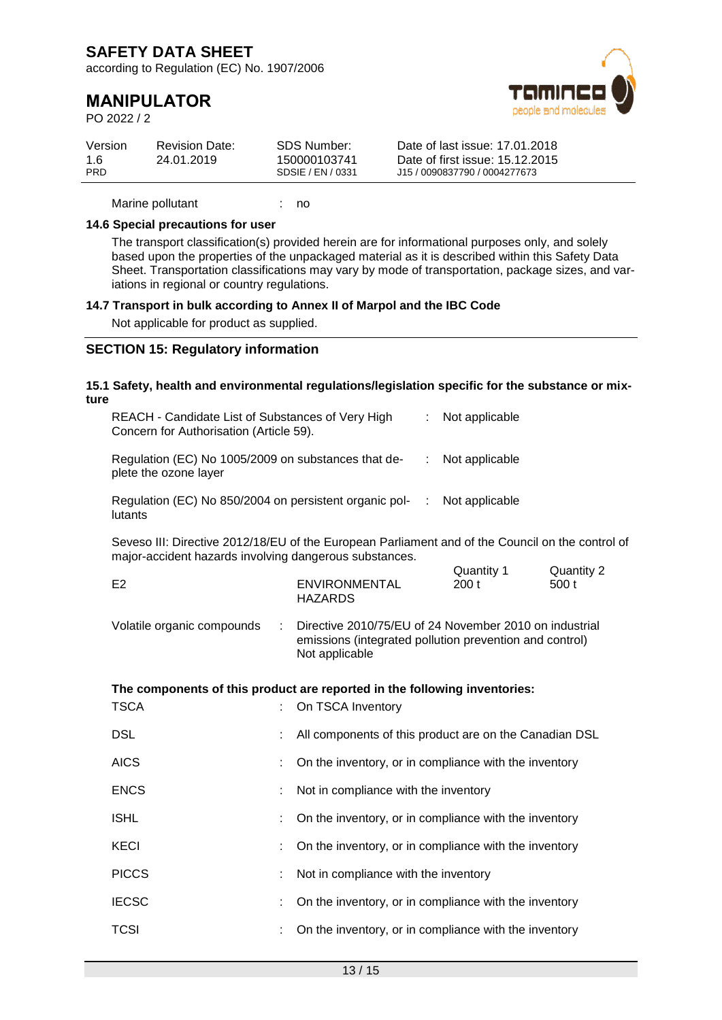according to Regulation (EC) No. 1907/2006

## **MANIPULATOR**

PO 2022 / 2



| Version    | <b>Revision Date:</b> | SDS Number:       | Date of last issue: 17.01.2018  |
|------------|-----------------------|-------------------|---------------------------------|
| 1.6        | 24.01.2019            | 150000103741      | Date of first issue: 15.12.2015 |
| <b>PRD</b> |                       | SDSIE / EN / 0331 | J15 / 0090837790 / 0004277673   |

Marine pollutant : no

#### **14.6 Special precautions for user**

The transport classification(s) provided herein are for informational purposes only, and solely based upon the properties of the unpackaged material as it is described within this Safety Data Sheet. Transportation classifications may vary by mode of transportation, package sizes, and variations in regional or country regulations.

#### **14.7 Transport in bulk according to Annex II of Marpol and the IBC Code**

Not applicable for product as supplied.

### **SECTION 15: Regulatory information**

|                            |                |                                        | ÷                                                                                                                                                                                                                                                                       | Not applicable |                                                                                                                                                                                                                                                                                                                                                                                                                                                                                                                                                                                                                                                                                                                                                                                                                                                             |
|----------------------------|----------------|----------------------------------------|-------------------------------------------------------------------------------------------------------------------------------------------------------------------------------------------------------------------------------------------------------------------------|----------------|-------------------------------------------------------------------------------------------------------------------------------------------------------------------------------------------------------------------------------------------------------------------------------------------------------------------------------------------------------------------------------------------------------------------------------------------------------------------------------------------------------------------------------------------------------------------------------------------------------------------------------------------------------------------------------------------------------------------------------------------------------------------------------------------------------------------------------------------------------------|
| plete the ozone layer      |                |                                        | ÷                                                                                                                                                                                                                                                                       | Not applicable |                                                                                                                                                                                                                                                                                                                                                                                                                                                                                                                                                                                                                                                                                                                                                                                                                                                             |
| lutants                    |                |                                        | ÷                                                                                                                                                                                                                                                                       | Not applicable |                                                                                                                                                                                                                                                                                                                                                                                                                                                                                                                                                                                                                                                                                                                                                                                                                                                             |
|                            |                |                                        |                                                                                                                                                                                                                                                                         |                |                                                                                                                                                                                                                                                                                                                                                                                                                                                                                                                                                                                                                                                                                                                                                                                                                                                             |
| E <sub>2</sub>             |                | <b>ENVIRONMENTAL</b><br><b>HAZARDS</b> |                                                                                                                                                                                                                                                                         | 200t           | <b>Quantity 2</b><br>500 t                                                                                                                                                                                                                                                                                                                                                                                                                                                                                                                                                                                                                                                                                                                                                                                                                                  |
| Volatile organic compounds | $\mathbb{C}^2$ | Not applicable                         |                                                                                                                                                                                                                                                                         |                |                                                                                                                                                                                                                                                                                                                                                                                                                                                                                                                                                                                                                                                                                                                                                                                                                                                             |
|                            |                |                                        |                                                                                                                                                                                                                                                                         |                |                                                                                                                                                                                                                                                                                                                                                                                                                                                                                                                                                                                                                                                                                                                                                                                                                                                             |
| <b>TSCA</b>                |                | On TSCA Inventory                      |                                                                                                                                                                                                                                                                         |                |                                                                                                                                                                                                                                                                                                                                                                                                                                                                                                                                                                                                                                                                                                                                                                                                                                                             |
| <b>DSL</b>                 |                |                                        |                                                                                                                                                                                                                                                                         |                |                                                                                                                                                                                                                                                                                                                                                                                                                                                                                                                                                                                                                                                                                                                                                                                                                                                             |
| <b>AICS</b>                |                |                                        |                                                                                                                                                                                                                                                                         |                |                                                                                                                                                                                                                                                                                                                                                                                                                                                                                                                                                                                                                                                                                                                                                                                                                                                             |
| <b>ENCS</b>                |                |                                        |                                                                                                                                                                                                                                                                         |                |                                                                                                                                                                                                                                                                                                                                                                                                                                                                                                                                                                                                                                                                                                                                                                                                                                                             |
| <b>ISHL</b>                |                |                                        |                                                                                                                                                                                                                                                                         |                |                                                                                                                                                                                                                                                                                                                                                                                                                                                                                                                                                                                                                                                                                                                                                                                                                                                             |
| <b>KECI</b>                |                |                                        |                                                                                                                                                                                                                                                                         |                |                                                                                                                                                                                                                                                                                                                                                                                                                                                                                                                                                                                                                                                                                                                                                                                                                                                             |
| <b>PICCS</b>               | ÷              |                                        |                                                                                                                                                                                                                                                                         |                |                                                                                                                                                                                                                                                                                                                                                                                                                                                                                                                                                                                                                                                                                                                                                                                                                                                             |
| <b>IECSC</b>               |                |                                        |                                                                                                                                                                                                                                                                         |                |                                                                                                                                                                                                                                                                                                                                                                                                                                                                                                                                                                                                                                                                                                                                                                                                                                                             |
| <b>TCSI</b>                |                |                                        |                                                                                                                                                                                                                                                                         |                |                                                                                                                                                                                                                                                                                                                                                                                                                                                                                                                                                                                                                                                                                                                                                                                                                                                             |
|                            | ture           |                                        | REACH - Candidate List of Substances of Very High<br>Concern for Authorisation (Article 59).<br>Regulation (EC) No 1005/2009 on substances that de-<br>Regulation (EC) No 850/2004 on persistent organic pol-<br>major-accident hazards involving dangerous substances. |                | 15.1 Safety, health and environmental regulations/legislation specific for the substance or mix-<br>Seveso III: Directive 2012/18/EU of the European Parliament and of the Council on the control of<br>Quantity 1<br>Directive 2010/75/EU of 24 November 2010 on industrial<br>emissions (integrated pollution prevention and control)<br>The components of this product are reported in the following inventories:<br>All components of this product are on the Canadian DSL<br>On the inventory, or in compliance with the inventory<br>Not in compliance with the inventory<br>On the inventory, or in compliance with the inventory<br>On the inventory, or in compliance with the inventory<br>Not in compliance with the inventory<br>On the inventory, or in compliance with the inventory<br>On the inventory, or in compliance with the inventory |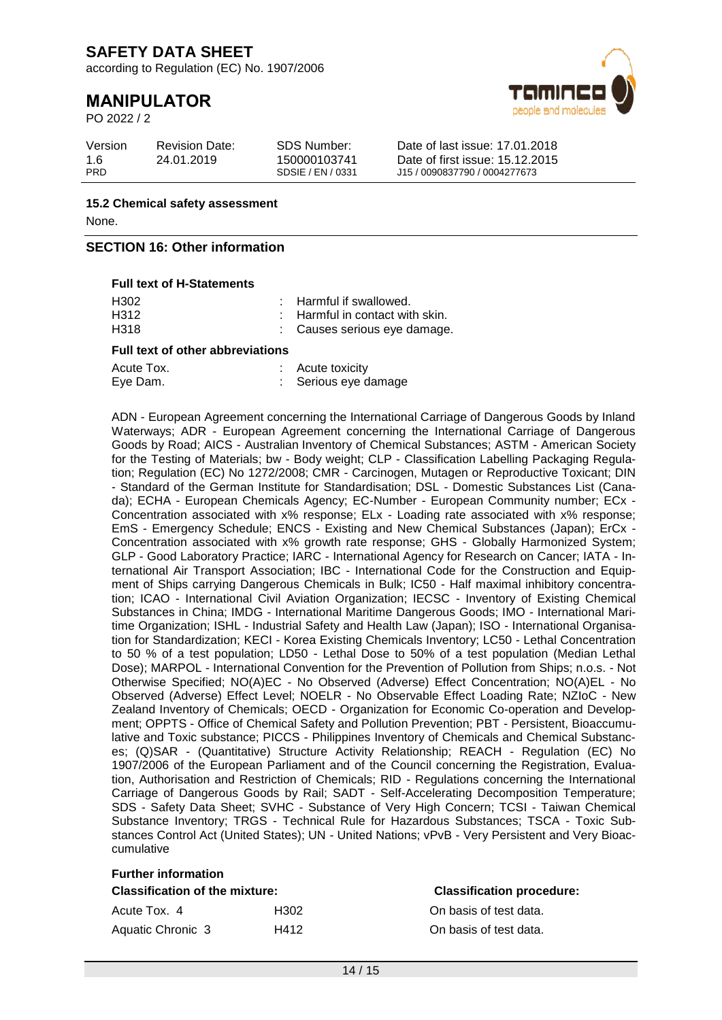according to Regulation (EC) No. 1907/2006

# **MANIPULATOR**

PO 2022 / 2



| Version    | <b>Revision Date:</b> | SDS Number:       | Date of last issue: 17.01.2018  |
|------------|-----------------------|-------------------|---------------------------------|
| 1.6        | 24.01.2019            | 150000103741      | Date of first issue: 15.12.2015 |
| <b>PRD</b> |                       | SDSIE / EN / 0331 | J15 / 0090837790 / 0004277673   |

**15.2 Chemical safety assessment** None.

### **SECTION 16: Other information**

#### **Full text of H-Statements**

| <b>Full text of other abbreviations</b> |  |                                            |  |  |  |  |
|-----------------------------------------|--|--------------------------------------------|--|--|--|--|
| H318                                    |  | : Causes serious eye damage.               |  |  |  |  |
| H312                                    |  | $\therefore$ Harmful in contact with skin. |  |  |  |  |
| H302                                    |  | : Harmful if swallowed.                    |  |  |  |  |

| Acute Tox. | $:$ Acute toxicity |
|------------|--------------------|
| Eye Dam.   | Serious eye damage |

ADN - European Agreement concerning the International Carriage of Dangerous Goods by Inland Waterways; ADR - European Agreement concerning the International Carriage of Dangerous Goods by Road; AICS - Australian Inventory of Chemical Substances; ASTM - American Society for the Testing of Materials: bw - Body weight: CLP - Classification Labelling Packaging Regulation; Regulation (EC) No 1272/2008; CMR - Carcinogen, Mutagen or Reproductive Toxicant; DIN - Standard of the German Institute for Standardisation; DSL - Domestic Substances List (Canada); ECHA - European Chemicals Agency; EC-Number - European Community number; ECx - Concentration associated with x% response; ELx - Loading rate associated with x% response; EmS - Emergency Schedule; ENCS - Existing and New Chemical Substances (Japan); ErCx - Concentration associated with x% growth rate response; GHS - Globally Harmonized System; GLP - Good Laboratory Practice; IARC - International Agency for Research on Cancer; IATA - International Air Transport Association; IBC - International Code for the Construction and Equipment of Ships carrying Dangerous Chemicals in Bulk; IC50 - Half maximal inhibitory concentration; ICAO - International Civil Aviation Organization; IECSC - Inventory of Existing Chemical Substances in China; IMDG - International Maritime Dangerous Goods; IMO - International Maritime Organization; ISHL - Industrial Safety and Health Law (Japan); ISO - International Organisation for Standardization; KECI - Korea Existing Chemicals Inventory; LC50 - Lethal Concentration to 50 % of a test population; LD50 - Lethal Dose to 50% of a test population (Median Lethal Dose); MARPOL - International Convention for the Prevention of Pollution from Ships; n.o.s. - Not Otherwise Specified; NO(A)EC - No Observed (Adverse) Effect Concentration; NO(A)EL - No Observed (Adverse) Effect Level; NOELR - No Observable Effect Loading Rate; NZIoC - New Zealand Inventory of Chemicals; OECD - Organization for Economic Co-operation and Development; OPPTS - Office of Chemical Safety and Pollution Prevention; PBT - Persistent, Bioaccumulative and Toxic substance; PICCS - Philippines Inventory of Chemicals and Chemical Substances; (Q)SAR - (Quantitative) Structure Activity Relationship; REACH - Regulation (EC) No 1907/2006 of the European Parliament and of the Council concerning the Registration, Evaluation, Authorisation and Restriction of Chemicals; RID - Regulations concerning the International Carriage of Dangerous Goods by Rail; SADT - Self-Accelerating Decomposition Temperature; SDS - Safety Data Sheet; SVHC - Substance of Very High Concern; TCSI - Taiwan Chemical Substance Inventory; TRGS - Technical Rule for Hazardous Substances; TSCA - Toxic Substances Control Act (United States); UN - United Nations; vPvB - Very Persistent and Very Bioaccumulative

| <b>Further information</b>            |      |                                  |  |  |  |  |
|---------------------------------------|------|----------------------------------|--|--|--|--|
| <b>Classification of the mixture:</b> |      | <b>Classification procedure:</b> |  |  |  |  |
| Acute Tox. 4                          | H302 | On basis of test data.           |  |  |  |  |
| Aquatic Chronic 3                     | H412 | On basis of test data.           |  |  |  |  |